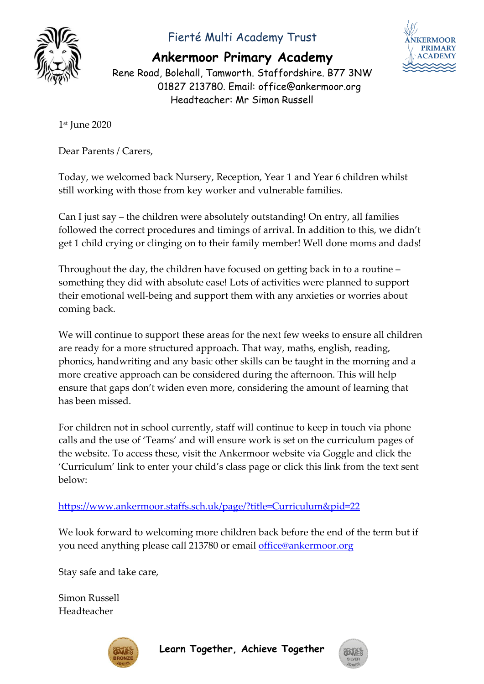

## Fierté Multi Academy Trust

**Ankermoor Primary Academy**

**CERMOOR** 

Rene Road, Bolehall, Tamworth. Staffordshire. B77 3NW 01827 213780. Email: office@ankermoor.org Headteacher: Mr Simon Russell

1 st June 2020

Dear Parents / Carers,

Today, we welcomed back Nursery, Reception, Year 1 and Year 6 children whilst still working with those from key worker and vulnerable families.

Can I just say – the children were absolutely outstanding! On entry, all families followed the correct procedures and timings of arrival. In addition to this, we didn't get 1 child crying or clinging on to their family member! Well done moms and dads!

Throughout the day, the children have focused on getting back in to a routine – something they did with absolute ease! Lots of activities were planned to support their emotional well-being and support them with any anxieties or worries about coming back.

We will continue to support these areas for the next few weeks to ensure all children are ready for a more structured approach. That way, maths, english, reading, phonics, handwriting and any basic other skills can be taught in the morning and a more creative approach can be considered during the afternoon. This will help ensure that gaps don't widen even more, considering the amount of learning that has been missed.

For children not in school currently, staff will continue to keep in touch via phone calls and the use of 'Teams' and will ensure work is set on the curriculum pages of the website. To access these, visit the Ankermoor website via Goggle and click the 'Curriculum' link to enter your child's class page or click this link from the text sent below:

<https://www.ankermoor.staffs.sch.uk/page/?title=Curriculum&pid=22>

We look forward to welcoming more children back before the end of the term but if you need anything please call 213780 or email [office@ankermoor.org](mailto:office@ankermoor.org)

Stay safe and take care,

Simon Russell Headteacher



**Learn Together, Achieve Together**